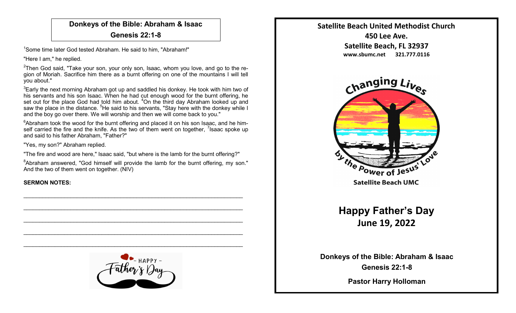## **Donkeys of the Bible: Abraham & Isaac**

**Genesis 22:1-8**

<sup>1</sup>Some time later God tested Abraham. He said to him, "Abraham!"

"Here I am," he replied.

 $^{2}$ Then God said, "Take your son, your only son, Isaac, whom you love, and go to the region of Moriah. Sacrifice him there as a burnt offering on one of the mountains I will tell you about."

 $3$ Early the next morning Abraham got up and saddled his donkey. He took with him two of his servants and his son Isaac. When he had cut enough wood for the burnt offering, he set out for the place God had told him about. <sup>4</sup>On the third day Abraham looked up and saw the place in the distance. <sup>5</sup>He said to his servants, "Stay here with the donkey while I and the boy go over there. We will worship and then we will come back to you."

 $6A$ braham took the wood for the burnt offering and placed it on his son Isaac, and he himself carried the fire and the knife. As the two of them went on together,  $\frac{7}{1}$  saac spoke up and said to his father Abraham, "Father?"

"Yes, my son?" Abraham replied.

"The fire and wood are here," Isaac said, "but where is the lamb for the burnt offering?"

<sup>8</sup>Abraham answered, "God himself will provide the lamb for the burnt offering, my son." And the two of them went on together. (NIV)

## **SERMON NOTES:**



 $\mathcal{L}_\text{max}$  and  $\mathcal{L}_\text{max}$  and  $\mathcal{L}_\text{max}$  and  $\mathcal{L}_\text{max}$  and  $\mathcal{L}_\text{max}$  and  $\mathcal{L}_\text{max}$ 

 $\mathcal{L}_\text{max}$  , and the contribution of the contribution of the contribution of the contribution of the contribution of the contribution of the contribution of the contribution of the contribution of the contribution of t

 $\mathcal{L}_\text{max}$  and  $\mathcal{L}_\text{max}$  and  $\mathcal{L}_\text{max}$  and  $\mathcal{L}_\text{max}$  and  $\mathcal{L}_\text{max}$  and  $\mathcal{L}_\text{max}$